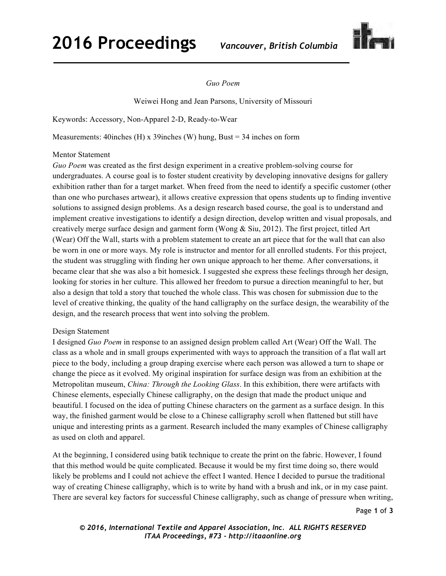## **2016 Proceedings** *Vancouver, British Columbia*



## *Guo Poem*

Weiwei Hong and Jean Parsons, University of Missouri

Keywords: Accessory, Non-Apparel 2-D, Ready-to-Wear

Measurements: 40inches (H) x 39inches (W) hung, Bust = 34 inches on form

## Mentor Statement

*Guo Poem* was created as the first design experiment in a creative problem-solving course for undergraduates. A course goal is to foster student creativity by developing innovative designs for gallery exhibition rather than for a target market. When freed from the need to identify a specific customer (other than one who purchases artwear), it allows creative expression that opens students up to finding inventive solutions to assigned design problems. As a design research based course, the goal is to understand and implement creative investigations to identify a design direction, develop written and visual proposals, and creatively merge surface design and garment form (Wong & Siu, 2012). The first project, titled Art (Wear) Off the Wall, starts with a problem statement to create an art piece that for the wall that can also be worn in one or more ways. My role is instructor and mentor for all enrolled students. For this project, the student was struggling with finding her own unique approach to her theme. After conversations, it became clear that she was also a bit homesick. I suggested she express these feelings through her design, looking for stories in her culture. This allowed her freedom to pursue a direction meaningful to her, but also a design that told a story that touched the whole class. This was chosen for submission due to the level of creative thinking, the quality of the hand calligraphy on the surface design, the wearability of the design, and the research process that went into solving the problem.

## Design Statement

I designed *Guo Poem* in response to an assigned design problem called Art (Wear) Off the Wall. The class as a whole and in small groups experimented with ways to approach the transition of a flat wall art piece to the body, including a group draping exercise where each person was allowed a turn to shape or change the piece as it evolved. My original inspiration for surface design was from an exhibition at the Metropolitan museum, *China: Through the Looking Glass*. In this exhibition, there were artifacts with Chinese elements, especially Chinese calligraphy, on the design that made the product unique and beautiful. I focused on the idea of putting Chinese characters on the garment as a surface design. In this way, the finished garment would be close to a Chinese calligraphy scroll when flattened but still have unique and interesting prints as a garment. Research included the many examples of Chinese calligraphy as used on cloth and apparel.

At the beginning, I considered using batik technique to create the print on the fabric. However, I found that this method would be quite complicated. Because it would be my first time doing so, there would likely be problems and I could not achieve the effect I wanted. Hence I decided to pursue the traditional way of creating Chinese calligraphy, which is to write by hand with a brush and ink, or in my case paint. There are several key factors for successful Chinese calligraphy, such as change of pressure when writing,

Page **1** of **3** 

*© 2016, International Textile and Apparel Association, Inc. ALL RIGHTS RESERVED ITAA Proceedings, #73 – http://itaaonline.org*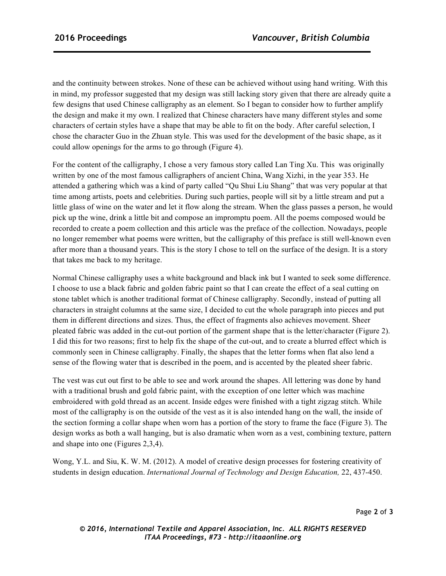and the continuity between strokes. None of these can be achieved without using hand writing. With this in mind, my professor suggested that my design was still lacking story given that there are already quite a few designs that used Chinese calligraphy as an element. So I began to consider how to further amplify the design and make it my own. I realized that Chinese characters have many different styles and some characters of certain styles have a shape that may be able to fit on the body. After careful selection, I chose the character Guo in the Zhuan style. This was used for the development of the basic shape, as it could allow openings for the arms to go through (Figure 4).

For the content of the calligraphy, I chose a very famous story called Lan Ting Xu. This was originally written by one of the most famous calligraphers of ancient China, Wang Xizhi, in the year 353. He attended a gathering which was a kind of party called "Qu Shui Liu Shang" that was very popular at that time among artists, poets and celebrities. During such parties, people will sit by a little stream and put a little glass of wine on the water and let it flow along the stream. When the glass passes a person, he would pick up the wine, drink a little bit and compose an impromptu poem. All the poems composed would be recorded to create a poem collection and this article was the preface of the collection. Nowadays, people no longer remember what poems were written, but the calligraphy of this preface is still well-known even after more than a thousand years. This is the story I chose to tell on the surface of the design. It is a story that takes me back to my heritage.

Normal Chinese calligraphy uses a white background and black ink but I wanted to seek some difference. I choose to use a black fabric and golden fabric paint so that I can create the effect of a seal cutting on stone tablet which is another traditional format of Chinese calligraphy. Secondly, instead of putting all characters in straight columns at the same size, I decided to cut the whole paragraph into pieces and put them in different directions and sizes. Thus, the effect of fragments also achieves movement. Sheer pleated fabric was added in the cut-out portion of the garment shape that is the letter/character (Figure 2). I did this for two reasons; first to help fix the shape of the cut-out, and to create a blurred effect which is commonly seen in Chinese calligraphy. Finally, the shapes that the letter forms when flat also lend a sense of the flowing water that is described in the poem, and is accented by the pleated sheer fabric.

The vest was cut out first to be able to see and work around the shapes. All lettering was done by hand with a traditional brush and gold fabric paint, with the exception of one letter which was machine embroidered with gold thread as an accent. Inside edges were finished with a tight zigzag stitch. While most of the calligraphy is on the outside of the vest as it is also intended hang on the wall, the inside of the section forming a collar shape when worn has a portion of the story to frame the face (Figure 3). The design works as both a wall hanging, but is also dramatic when worn as a vest, combining texture, pattern and shape into one (Figures 2,3,4).

Wong, Y.L. and Siu, K. W. M. (2012). A model of creative design processes for fostering creativity of students in design education. *International Journal of Technology and Design Education,* 22, 437-450.

*© 2016, International Textile and Apparel Association, Inc. ALL RIGHTS RESERVED ITAA Proceedings, #73 – http://itaaonline.org*